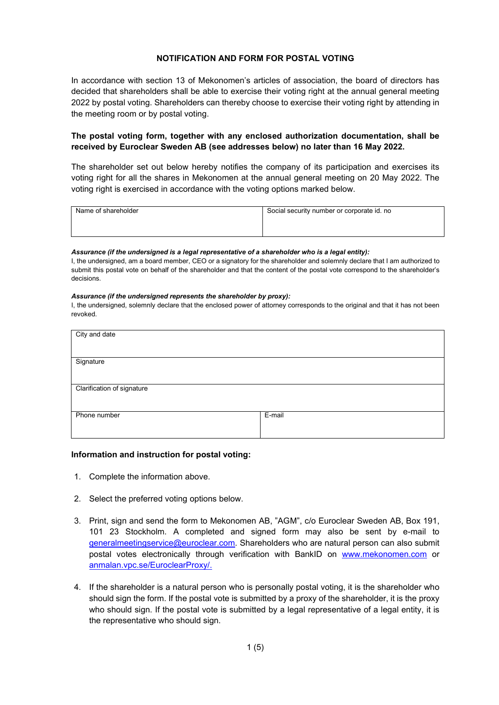## **NOTIFICATION AND FORM FOR POSTAL VOTING**

In accordance with section 13 of Mekonomen's articles of association, the board of directors has decided that shareholders shall be able to exercise their voting right at the annual general meeting 2022 by postal voting. Shareholders can thereby choose to exercise their voting right by attending in the meeting room or by postal voting.

## **The postal voting form, together with any enclosed authorization documentation, shall be received by Euroclear Sweden AB (see addresses below) no later than 16 May 2022.**

The shareholder set out below hereby notifies the company of its participation and exercises its voting right for all the shares in Mekonomen at the annual general meeting on 20 May 2022. The voting right is exercised in accordance with the voting options marked below.

| Name of shareholder | Social security number or corporate id. no |
|---------------------|--------------------------------------------|
|                     |                                            |
|                     |                                            |

#### *Assurance (if the undersigned is a legal representative of a shareholder who is a legal entity):*

I, the undersigned, am a board member, CEO or a signatory for the shareholder and solemnly declare that I am authorized to submit this postal vote on behalf of the shareholder and that the content of the postal vote correspond to the shareholder's decisions.

#### *Assurance (if the undersigned represents the shareholder by proxy):*

I, the undersigned, solemnly declare that the enclosed power of attorney corresponds to the original and that it has not been revoked.

| City and date              |        |  |
|----------------------------|--------|--|
| Signature                  |        |  |
|                            |        |  |
| Clarification of signature |        |  |
|                            |        |  |
| Phone number               | E-mail |  |
|                            |        |  |

## **Information and instruction for postal voting:**

- 1. Complete the information above.
- 2. Select the preferred voting options below.
- 3. Print, sign and send the form to Mekonomen AB, "AGM", c/o Euroclear Sweden AB, Box 191, 101 23 Stockholm. A completed and signed form may also be sent by e-mail to [generalmeetingservice@euroclear.com.](mailto:generalmeetingservice@euroclear.com) Shareholders who are natural person can also submit postal votes electronically through verification with BankID on [www.mekonomen.com](http://www.mekonomen.com/) or [anmalan.vpc.se/EuroclearProxy/.](https://anmalan.vpc.se/EuroclearProxy/)
- 4. If the shareholder is a natural person who is personally postal voting, it is the shareholder who should sign the form. If the postal vote is submitted by a proxy of the shareholder, it is the proxy who should sign. If the postal vote is submitted by a legal representative of a legal entity, it is the representative who should sign.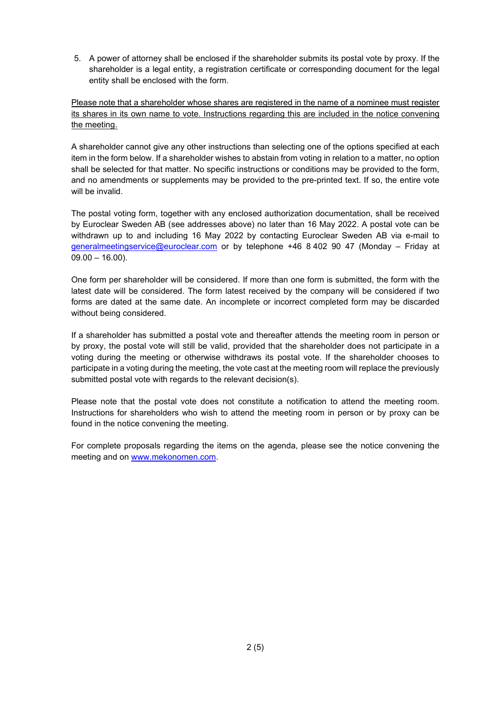5. A power of attorney shall be enclosed if the shareholder submits its postal vote by proxy. If the shareholder is a legal entity, a registration certificate or corresponding document for the legal entity shall be enclosed with the form.

Please note that a shareholder whose shares are registered in the name of a nominee must register its shares in its own name to vote. Instructions regarding this are included in the notice convening the meeting.

A shareholder cannot give any other instructions than selecting one of the options specified at each item in the form below. If a shareholder wishes to abstain from voting in relation to a matter, no option shall be selected for that matter. No specific instructions or conditions may be provided to the form, and no amendments or supplements may be provided to the pre-printed text. If so, the entire vote will be invalid.

The postal voting form, together with any enclosed authorization documentation, shall be received by Euroclear Sweden AB (see addresses above) no later than 16 May 2022. A postal vote can be withdrawn up to and including 16 May 2022 by contacting Euroclear Sweden AB via e-mail to [generalmeetingservice@euroclear.com](mailto:generalmeetingservice@euroclear.com) or by telephone +46 8 402 90 47 (Monday – Friday at  $09.00 - 16.00$ ).

One form per shareholder will be considered. If more than one form is submitted, the form with the latest date will be considered. The form latest received by the company will be considered if two forms are dated at the same date. An incomplete or incorrect completed form may be discarded without being considered.

If a shareholder has submitted a postal vote and thereafter attends the meeting room in person or by proxy, the postal vote will still be valid, provided that the shareholder does not participate in a voting during the meeting or otherwise withdraws its postal vote. If the shareholder chooses to participate in a voting during the meeting, the vote cast at the meeting room will replace the previously submitted postal vote with regards to the relevant decision(s).

Please note that the postal vote does not constitute a notification to attend the meeting room. Instructions for shareholders who wish to attend the meeting room in person or by proxy can be found in the notice convening the meeting.

For complete proposals regarding the items on the agenda, please see the notice convening the meeting and on [www.mekonomen.com.](http://www.mekonomen.com/)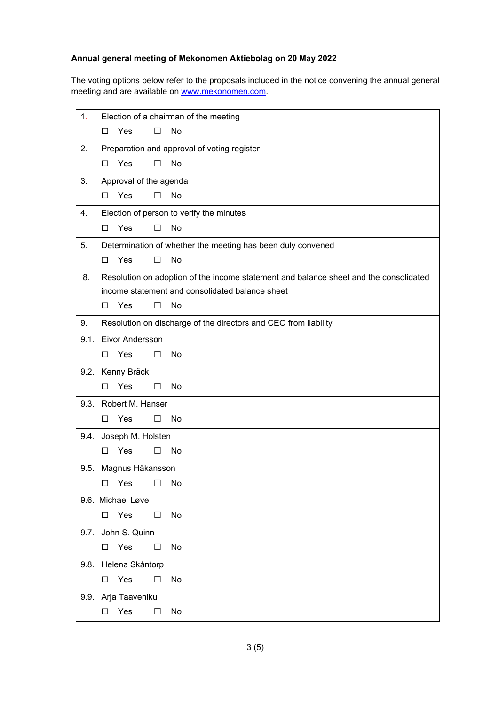# **Annual general meeting of Mekonomen Aktiebolag on 20 May 2022**

The voting options below refer to the proposals included in the notice convening the annual general meeting and are available on [www.mekonomen.com.](http://www.mekonomen.com/)

| 1.   | Election of a chairman of the meeting                       |                                                                                       |  |  |
|------|-------------------------------------------------------------|---------------------------------------------------------------------------------------|--|--|
|      | Yes<br>П                                                    | No                                                                                    |  |  |
|      |                                                             |                                                                                       |  |  |
| 2.   |                                                             | Preparation and approval of voting register                                           |  |  |
|      | Yes<br>$\Box$                                               | П<br>No                                                                               |  |  |
| 3.   | Approval of the agenda                                      |                                                                                       |  |  |
|      | Yes<br>П                                                    | П<br>No                                                                               |  |  |
| 4.   | Election of person to verify the minutes                    |                                                                                       |  |  |
|      | Yes<br>□                                                    | No<br>П                                                                               |  |  |
| 5.   | Determination of whether the meeting has been duly convened |                                                                                       |  |  |
|      | Yes<br>□                                                    | No<br>П                                                                               |  |  |
| 8.   |                                                             | Resolution on adoption of the income statement and balance sheet and the consolidated |  |  |
|      |                                                             | income statement and consolidated balance sheet                                       |  |  |
|      | Yes<br>□                                                    | No<br>ш                                                                               |  |  |
| 9.   |                                                             | Resolution on discharge of the directors and CEO from liability                       |  |  |
|      | 9.1. Eivor Andersson                                        |                                                                                       |  |  |
|      | Yes<br>П.                                                   | П<br><b>No</b>                                                                        |  |  |
|      |                                                             |                                                                                       |  |  |
|      | 9.2. Kenny Bräck                                            |                                                                                       |  |  |
|      | Yes<br>□                                                    | No<br>□                                                                               |  |  |
|      | 9.3. Robert M. Hanser                                       |                                                                                       |  |  |
|      | Yes<br>□                                                    | No<br>$\Box$                                                                          |  |  |
|      | 9.4. Joseph M. Holsten                                      |                                                                                       |  |  |
|      | Yes<br>□                                                    | No<br>ш                                                                               |  |  |
| 9.5. | Magnus Håkansson                                            |                                                                                       |  |  |
|      | $\Box$ Yes<br>$\overline{\phantom{a}}$                      | No                                                                                    |  |  |
|      | 9.6. Michael Løve                                           |                                                                                       |  |  |
|      | Yes<br>□                                                    | No<br>$\Box$                                                                          |  |  |
|      | 9.7. John S. Quinn                                          |                                                                                       |  |  |
|      | Yes<br>□                                                    | $\Box$                                                                                |  |  |
|      |                                                             | No                                                                                    |  |  |
|      | 9.8. Helena Skåntorp                                        |                                                                                       |  |  |
|      | Yes<br>□                                                    | No<br>⊔                                                                               |  |  |
|      | 9.9. Arja Taaveniku                                         |                                                                                       |  |  |
|      | Yes<br>□                                                    | No<br>$\Box$                                                                          |  |  |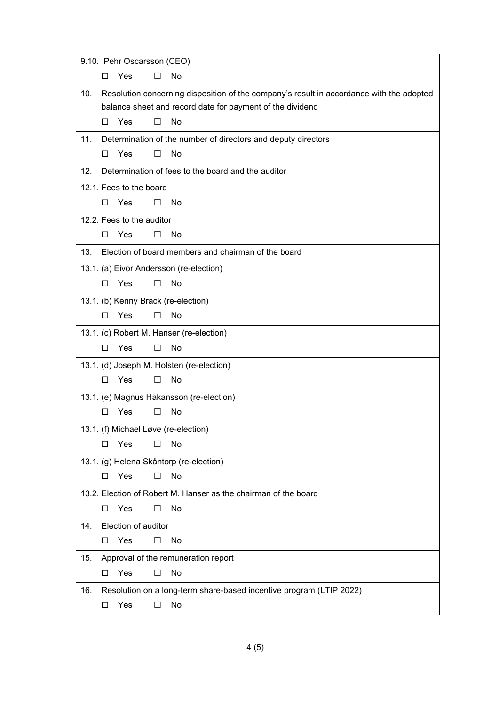|     |        | 9.10. Pehr Oscarsson (CEO) |         |                                                                                          |
|-----|--------|----------------------------|---------|------------------------------------------------------------------------------------------|
|     | П      | Yes                        |         | No                                                                                       |
| 10. |        |                            |         | Resolution concerning disposition of the company's result in accordance with the adopted |
|     |        |                            |         | balance sheet and record date for payment of the dividend                                |
|     | П      | <b>Yes</b>                 | $\perp$ | <b>No</b>                                                                                |
| 11. |        |                            |         | Determination of the number of directors and deputy directors                            |
|     | □      | Yes                        | П       | No                                                                                       |
| 12. |        |                            |         | Determination of fees to the board and the auditor                                       |
|     |        | 12.1. Fees to the board    |         |                                                                                          |
|     | П      | <b>Yes</b>                 | $\perp$ | No                                                                                       |
|     |        | 12.2. Fees to the auditor  |         |                                                                                          |
|     | □      | Yes                        |         | No                                                                                       |
| 13. |        |                            |         | Election of board members and chairman of the board                                      |
|     |        |                            |         | 13.1. (a) Eivor Andersson (re-election)                                                  |
|     | П      | Yes                        |         | No                                                                                       |
|     |        |                            |         | 13.1. (b) Kenny Bräck (re-election)                                                      |
|     | П      | Yes                        | $\perp$ | No                                                                                       |
|     |        |                            |         | 13.1. (c) Robert M. Hanser (re-election)                                                 |
|     | П      | Yes                        | $\perp$ | <b>No</b>                                                                                |
|     |        |                            |         | 13.1. (d) Joseph M. Holsten (re-election)                                                |
|     | $\Box$ | Yes                        | П       | No                                                                                       |
|     |        |                            |         | 13.1. (e) Magnus Håkansson (re-election)                                                 |
|     | П      | Yes                        |         | No                                                                                       |
|     |        |                            |         | 13.1. (f) Michael Løve (re-election)                                                     |
|     | ΙI     | Yes                        |         | No                                                                                       |
|     |        |                            |         | 13.1. (g) Helena Skåntorp (re-election)                                                  |
|     | □      | Yes                        | $\Box$  | No                                                                                       |
|     |        |                            |         | 13.2. Election of Robert M. Hanser as the chairman of the board                          |
|     | □      | Yes                        | $\perp$ | No                                                                                       |
| 14. |        | Election of auditor        |         |                                                                                          |
|     | □      | Yes                        | П       | No                                                                                       |
| 15. |        |                            |         | Approval of the remuneration report                                                      |
|     | $\Box$ | Yes                        | П       | No                                                                                       |
| 16. |        |                            |         | Resolution on a long-term share-based incentive program (LTIP 2022)                      |
|     | □      | Yes                        |         | No                                                                                       |